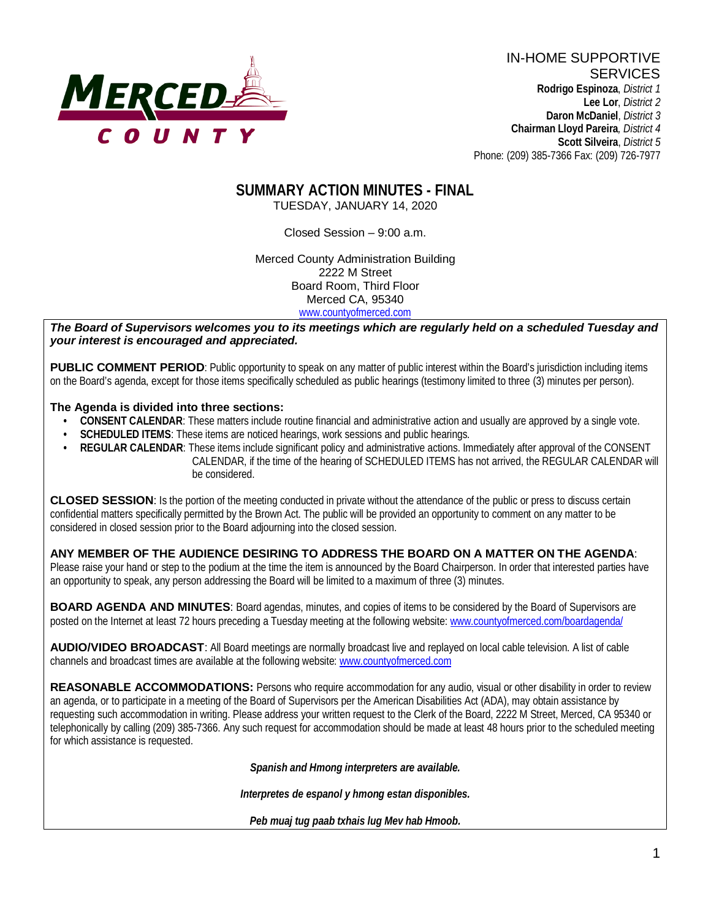

#### **SUMMARY ACTION MINUTES - FINAL** TUESDAY, JANUARY 14, 2020

Closed Session – 9:00 a.m.

Merced County Administration Building 2222 M Street Board Room, Third Floor Merced CA, 95340 www.countyofmerced.com

*The Board of Supervisors welcomes you to its meetings which are regularly held on a scheduled Tuesday and your interest is encouraged and appreciated.*

**PUBLIC COMMENT PERIOD**: Public opportunity to speak on any matter of public interest within the Board's jurisdiction including items on the Board's agenda, except for those items specifically scheduled as public hearings (testimony limited to three (3) minutes per person).

#### **The Agenda is divided into three sections:**

- **CONSENT CALENDAR**: These matters include routine financial and administrative action and usually are approved by a single vote.
- **SCHEDULED ITEMS:** These items are noticed hearings, work sessions and public hearings.
- **REGULAR CALENDAR:** These items include significant policy and administrative actions. Immediately after approval of the CONSENT CALENDAR, if the time of the hearing of SCHEDULED ITEMS has not arrived, the REGULAR CALENDAR will be considered.

**CLOSED SESSION**: Is the portion of the meeting conducted in private without the attendance of the public or press to discuss certain confidential matters specifically permitted by the Brown Act. The public will be provided an opportunity to comment on any matter to be considered in closed session prior to the Board adjourning into the closed session.

### **ANY MEMBER OF THE AUDIENCE DESIRING TO ADDRESS THE BOARD ON A MATTER ON THE AGENDA**:

Please raise your hand or step to the podium at the time the item is announced by the Board Chairperson. In order that interested parties have an opportunity to speak, any person addressing the Board will be limited to a maximum of three (3) minutes.

**BOARD AGENDA AND MINUTES:** Board agendas, minutes, and copies of items to be considered by the Board of Supervisors are posted on the Internet at least 72 hours preceding a Tuesday meeting at the following website: [www.countyofmerced.com/boardagenda/](http://www.countyofmerced.com/boardagenda/) 

**AUDIO/VIDEO BROADCAST**: All Board meetings are normally broadcast live and replayed on local cable television. A list of cable channels and broadcast times are available at the following website[: www.countyofmerced.com](http://www.countyofmerced.com/)

**REASONABLE ACCOMMODATIONS:** Persons who require accommodation for any audio, visual or other disability in order to review an agenda, or to participate in a meeting of the Board of Supervisors per the American Disabilities Act (ADA), may obtain assistance by requesting such accommodation in writing. Please address your written request to the Clerk of the Board, 2222 M Street, Merced, CA 95340 or telephonically by calling (209) 385-7366. Any such request for accommodation should be made at least 48 hours prior to the scheduled meeting for which assistance is requested.

*Spanish and Hmong interpreters are available.*

*Interpretes de espanol y hmong estan disponibles.*

*Peb muaj tug paab txhais lug Mev hab Hmoob.*